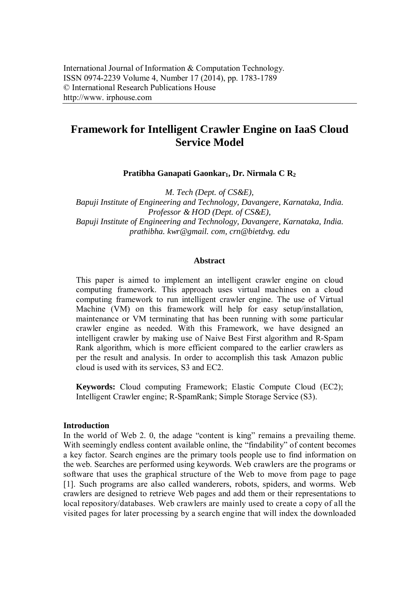# **Framework for Intelligent Crawler Engine on IaaS Cloud Service Model**

**Pratibha Ganapati Gaonkar1, Dr. Nirmala C R<sup>2</sup>**

*M. Tech (Dept. of CS&E), Bapuji Institute of Engineering and Technology, Davangere, Karnataka, India. Professor & HOD (Dept. of CS&E), Bapuji Institute of Engineering and Technology, Davangere, Karnataka, India. prathibha. kwr@gmail. com, crn@bietdvg. edu*

#### **Abstract**

This paper is aimed to implement an intelligent crawler engine on cloud computing framework. This approach uses virtual machines on a cloud computing framework to run intelligent crawler engine. The use of Virtual Machine (VM) on this framework will help for easy setup/installation, maintenance or VM terminating that has been running with some particular crawler engine as needed. With this Framework, we have designed an intelligent crawler by making use of Naive Best First algorithm and R-Spam Rank algorithm, which is more efficient compared to the earlier crawlers as per the result and analysis. In order to accomplish this task Amazon public cloud is used with its services, S3 and EC2.

**Keywords:** Cloud computing Framework; Elastic Compute Cloud (EC2); Intelligent Crawler engine; R-SpamRank; Simple Storage Service (S3).

### **Introduction**

In the world of Web 2. 0, the adage "content is king" remains a prevailing theme. With seemingly endless content available online, the "findability" of content becomes a key factor. Search engines are the primary tools people use to find information on the web. Searches are performed using keywords. Web crawlers are the programs or software that uses the graphical structure of the Web to move from page to page [1]. Such programs are also called wanderers, robots, spiders, and worms. Web crawlers are designed to retrieve Web pages and add them or their representations to local repository/databases. Web crawlers are mainly used to create a copy of all the visited pages for later processing by a search engine that will index the downloaded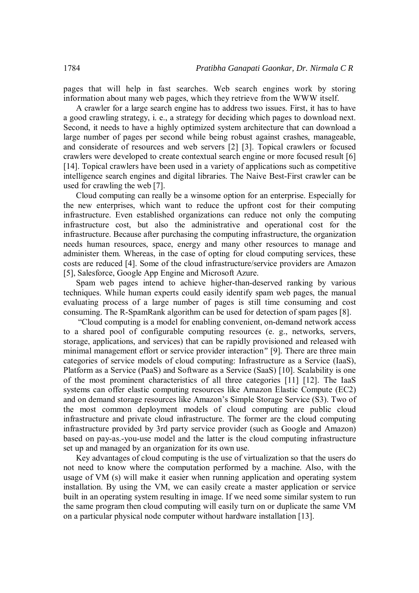pages that will help in fast searches. Web search engines work by storing information about many web pages, which they retrieve from the WWW itself.

A crawler for a large search engine has to address two issues. First, it has to have a good crawling strategy, i. e., a strategy for deciding which pages to download next. Second, it needs to have a highly optimized system architecture that can download a large number of pages per second while being robust against crashes, manageable, and considerate of resources and web servers [2] [3]. Topical crawlers or focused crawlers were developed to create contextual search engine or more focused result [6] [14]. Topical crawlers have been used in a variety of applications such as competitive intelligence search engines and digital libraries. The Naive Best-First crawler can be used for crawling the web [7].

Cloud computing can really be a winsome option for an enterprise. Especially for the new enterprises, which want to reduce the upfront cost for their computing infrastructure. Even established organizations can reduce not only the computing infrastructure cost, but also the administrative and operational cost for the infrastructure. Because after purchasing the computing infrastructure, the organization needs human resources, space, energy and many other resources to manage and administer them. Whereas, in the case of opting for cloud computing services, these costs are reduced [4]. Some of the cloud infrastructure/service providers are Amazon [5], Salesforce, Google App Engine and Microsoft Azure.

Spam web pages intend to achieve higher-than-deserved ranking by various techniques. While human experts could easily identify spam web pages, the manual evaluating process of a large number of pages is still time consuming and cost consuming. The R-SpamRank algorithm can be used for detection of spam pages [8].

"Cloud computing is a model for enabling convenient, on-demand network access to a shared pool of configurable computing resources (e. g., networks, servers, storage, applications, and services) that can be rapidly provisioned and released with minimal management effort or service provider interaction*"* [9]*.* There are three main categories of service models of cloud computing: Infrastructure as a Service (IaaS), Platform as a Service (PaaS) and Software as a Service (SaaS) [10]. Scalability is one of the most prominent characteristics of all three categories [11] [12]. The IaaS systems can offer elastic computing resources like Amazon Elastic Compute (EC2) and on demand storage resources like Amazon's Simple Storage Service (S3). Two of the most common deployment models of cloud computing are public cloud infrastructure and private cloud infrastructure. The former are the cloud computing infrastructure provided by 3rd party service provider (such as Google and Amazon) based on pay-as.-you-use model and the latter is the cloud computing infrastructure set up and managed by an organization for its own use.

Key advantages of cloud computing is the use of virtualization so that the users do not need to know where the computation performed by a machine. Also, with the usage of VM (s) will make it easier when running application and operating system installation. By using the VM, we can easily create a master application or service built in an operating system resulting in image. If we need some similar system to run the same program then cloud computing will easily turn on or duplicate the same VM on a particular physical node computer without hardware installation [13].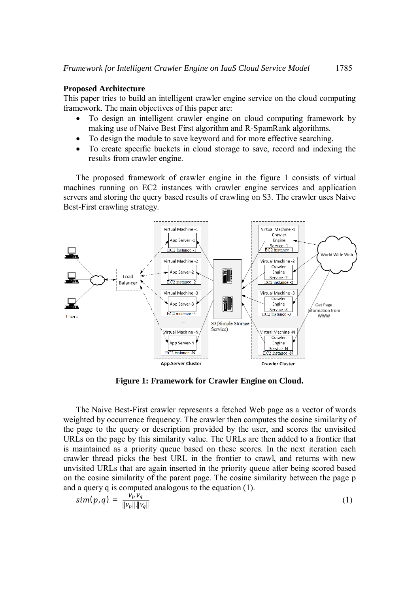# **Proposed Architecture**

This paper tries to build an intelligent crawler engine service on the cloud computing framework. The main objectives of this paper are:

- To design an intelligent crawler engine on cloud computing framework by making use of Naive Best First algorithm and R-SpamRank algorithms.
- To design the module to save keyword and for more effective searching.
- To create specific buckets in cloud storage to save, record and indexing the results from crawler engine.

The proposed framework of crawler engine in the figure 1 consists of virtual machines running on EC2 instances with crawler engine services and application servers and storing the query based results of crawling on S3. The crawler uses Naive Best-First crawling strategy.



**Figure 1: Framework for Crawler Engine on Cloud.** 

The Naive Best-First crawler represents a fetched Web page as a vector of words weighted by occurrence frequency. The crawler then computes the cosine similarity of the page to the query or description provided by the user, and scores the unvisited URLs on the page by this similarity value. The URLs are then added to a frontier that is maintained as a priority queue based on these scores. In the next iteration each crawler thread picks the best URL in the frontier to crawl, and returns with new unvisited URLs that are again inserted in the priority queue after being scored based on the cosine similarity of the parent page. The cosine similarity between the page p and a query q is computed analogous to the equation (1).

$$
sim(p,q) = \frac{V_p.V_q}{\|V_p\| \|V_q\|} \tag{1}
$$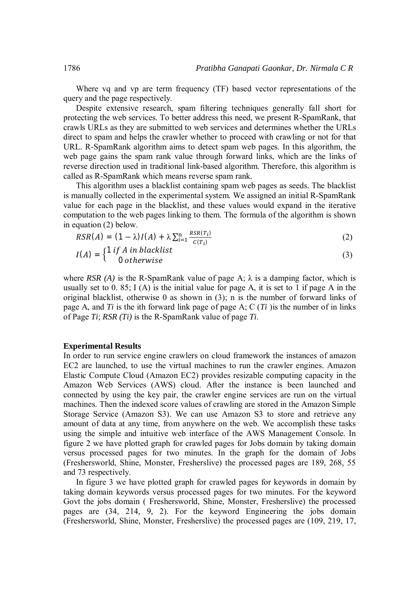Where vq and vp are term frequency (TF) based vector representations of the query and the page respectively.

Despite extensive research, spam filtering techniques generally fall short for protecting the web services. To better address this need, we present R-SpamRank, that crawls URLs as they are submitted to web services and determines whether the URLs direct to spam and helps the crawler whether to proceed with crawling or not for that URL. R-SpamRank algorithm aims to detect spam web pages. In this algorithm, the web page gains the spam rank value through forward links, which are the links of reverse direction used in traditional link-based algorithm. Therefore, this algorithm is called as R-SpamRank which means reverse spam rank.

This algorithm uses a blacklist containing spam web pages as seeds. The blacklist is manually collected in the experimental system. We assigned an initial R-SpamRank value for each page in the blacklist, and these values would expand in the iterative computation to the web pages linking to them. The formula of the algorithm is shown in equation (2) below.

$$
RSR(A) = (1 - \lambda)I(A) + \lambda \sum_{i=1}^{n} \frac{RSR(T_i)}{C(T_i)}
$$
(2)

$$
I(A) = \begin{cases} 1 & \text{if } A \text{ in black list} \\ 0 & \text{otherwise} \end{cases}
$$
 (3)

where *RSR* (A) is the R-SpamRank value of page A;  $\lambda$  is a damping factor, which is usually set to 0. 85; I (A) is the initial value for page A, it is set to 1 if page A in the original blacklist, otherwise 0 as shown in (3); n is the number of forward links of page A, and *Ti* is the ith forward link page of page A; C (*Ti* )is the number of in links of Page *Ti*; *RSR (Ti)* is the R-SpamRank value of page *Ti*.

#### **Experimental Results**

In order to run service engine crawlers on cloud framework the instances of amazon EC2 are launched, to use the virtual machines to run the crawler engines. Amazon Elastic Compute Cloud (Amazon EC2) provides resizable computing capacity in the Amazon Web Services (AWS) cloud. After the instance is been launched and connected by using the key pair, the crawler engine services are run on the virtual machines. Then the indexed score values of crawling are stored in the Amazon Simple Storage Service (Amazon S3). We can use Amazon S3 to store and retrieve any amount of data at any time, from anywhere on the web. We accomplish these tasks using the simple and intuitive web interface of the AWS Management Console. In figure 2 we have plotted graph for crawled pages for Jobs domain by taking domain versus processed pages for two minutes. In the graph for the domain of Jobs (Freshersworld, Shine, Monster, Fresherslive) the processed pages are 189, 268, 55 and 73 respectively.

In figure 3 we have plotted graph for crawled pages for keywords in domain by taking domain keywords versus processed pages for two minutes. For the keyword Govt the jobs domain ( Freshersworld, Shine, Monster, Fresherslive) the processed pages are (34, 214, 9, 2). For the keyword Engineering the jobs domain (Freshersworld, Shine, Monster, Fresherslive) the processed pages are (109, 219, 17,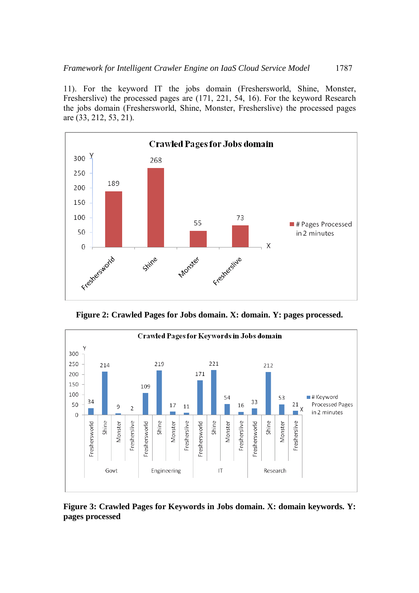11). For the keyword IT the jobs domain (Freshersworld, Shine, Monster, Fresherslive) the processed pages are (171, 221, 54, 16). For the keyword Research the jobs domain (Freshersworld, Shine, Monster, Fresherslive) the processed pages are (33, 212, 53, 21).



**Figure 2: Crawled Pages for Jobs domain. X: domain. Y: pages processed.** 



**Figure 3: Crawled Pages for Keywords in Jobs domain. X: domain keywords. Y: pages processed**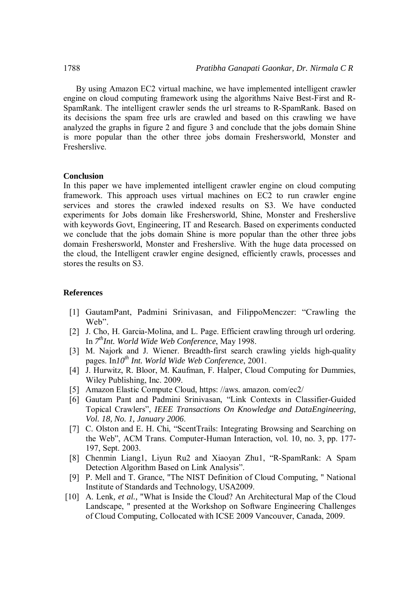By using Amazon EC2 virtual machine, we have implemented intelligent crawler engine on cloud computing framework using the algorithms Naive Best-First and R-SpamRank. The intelligent crawler sends the url streams to R-SpamRank. Based on its decisions the spam free urls are crawled and based on this crawling we have analyzed the graphs in figure 2 and figure 3 and conclude that the jobs domain Shine is more popular than the other three jobs domain Freshersworld, Monster and Fresherslive.

#### **Conclusion**

In this paper we have implemented intelligent crawler engine on cloud computing framework. This approach uses virtual machines on EC2 to run crawler engine services and stores the crawled indexed results on S3. We have conducted experiments for Jobs domain like Freshersworld, Shine, Monster and Fresherslive with keywords Govt, Engineering, IT and Research. Based on experiments conducted we conclude that the jobs domain Shine is more popular than the other three jobs domain Freshersworld, Monster and Fresherslive. With the huge data processed on the cloud, the Intelligent crawler engine designed, efficiently crawls, processes and stores the results on S3.

# **References**

- [1] GautamPant, Padmini Srinivasan, and FilippoMenczer: "Crawling the Web".
- [2] J. Cho, H. Garcia-Molina, and L. Page. Efficient crawling through url ordering. In *7 thInt. World Wide Web Conference*, May 1998.
- [3] M. Najork and J. Wiener. Breadth-first search crawling yields high-quality pages. In*10th Int. World Wide Web Conference*, 2001.
- [4] J. Hurwitz, R. Bloor, M. Kaufman, F. Halper, Cloud Computing for Dummies, Wiley Publishing, Inc. 2009.
- [5] Amazon Elastic Compute Cloud, https: //aws. amazon. com/ec2/
- [6] Gautam Pant and Padmini Srinivasan, "Link Contexts in Classifier-Guided Topical Crawlers", *IEEE Transactions On Knowledge and DataEngineering, Vol. 18, No. 1, January 2006*.
- [7] C. Olston and E. H. Chi, "ScentTrails: Integrating Browsing and Searching on the Web", ACM Trans. Computer-Human Interaction, vol. 10, no. 3, pp. 177- 197, Sept. 2003.
- [8] Chenmin Liang1, Liyun Ru2 and Xiaoyan Zhu1, "R-SpamRank: A Spam Detection Algorithm Based on Link Analysis".
- [9] P. Mell and T. Grance, "The NIST Definition of Cloud Computing, " National Institute of Standards and Technology, USA2009.
- [10] A. Lenk, *et al.*, "What is Inside the Cloud? An Architectural Map of the Cloud Landscape, " presented at the Workshop on Software Engineering Challenges of Cloud Computing, Collocated with ICSE 2009 Vancouver, Canada, 2009.